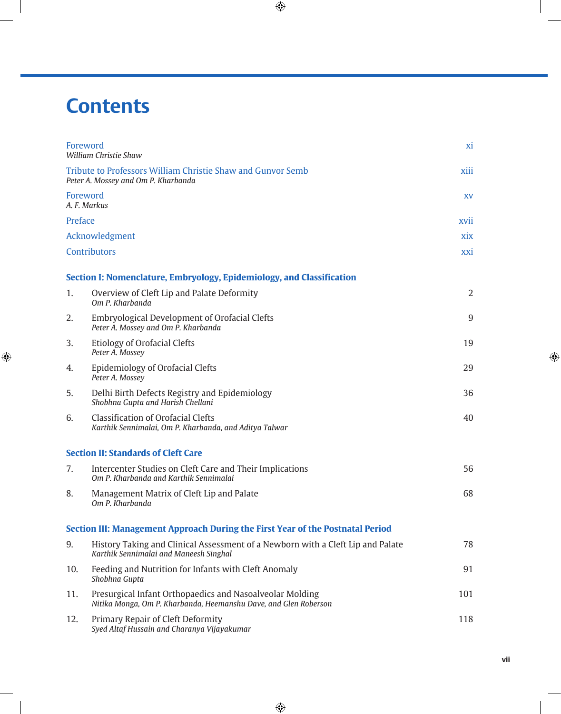## **Contents**

 $\bigoplus$ 

| Foreword       | <b>William Christie Shaw</b>                                                                                                 | X <sub>1</sub> |
|----------------|------------------------------------------------------------------------------------------------------------------------------|----------------|
|                | Tribute to Professors William Christie Shaw and Gunvor Semb<br>Peter A. Mossey and Om P. Kharbanda                           | xiii           |
|                | Foreword<br>A. F. Markus                                                                                                     | XV             |
| Preface        |                                                                                                                              | xvii           |
| Acknowledgment |                                                                                                                              | xix            |
|                | <b>Contributors</b>                                                                                                          | xxi            |
|                | Section I: Nomenclature, Embryology, Epidemiology, and Classification                                                        |                |
| 1.             | Overview of Cleft Lip and Palate Deformity<br>Om P. Kharbanda                                                                | $\overline{2}$ |
| 2.             | <b>Embryological Development of Orofacial Clefts</b><br>Peter A. Mossey and Om P. Kharbanda                                  | 9              |
| 3.             | <b>Etiology of Orofacial Clefts</b><br>Peter A. Mossey                                                                       | 19             |
| 4.             | <b>Epidemiology of Orofacial Clefts</b><br>Peter A. Mossey                                                                   | 29             |
| 5.             | Delhi Birth Defects Registry and Epidemiology<br>Shobhna Gupta and Harish Chellani                                           | 36             |
| 6.             | <b>Classification of Orofacial Clefts</b><br>Karthik Sennimalai, Om P. Kharbanda, and Aditya Talwar                          | 40             |
|                | <b>Section II: Standards of Cleft Care</b>                                                                                   |                |
| 7.             | Intercenter Studies on Cleft Care and Their Implications<br>Om P. Kharbanda and Karthik Sennimalai                           | 56             |
| 8.             | Management Matrix of Cleft Lip and Palate<br>Om P. Kharbanda                                                                 | 68             |
|                | Section III: Management Approach During the First Year of the Postnatal Period                                               |                |
| 9.             | History Taking and Clinical Assessment of a Newborn with a Cleft Lip and Palate<br>Karthik Sennimalai and Maneesh Singhal    | 78             |
| 10.            | Feeding and Nutrition for Infants with Cleft Anomaly<br>Shobhna Gupta                                                        | 91             |
| 11.            | Presurgical Infant Orthopaedics and Nasoalveolar Molding<br>Nitika Monga, Om P. Kharbanda, Heemanshu Dave, and Glen Roberson | 101            |
| 12.            | Primary Repair of Cleft Deformity<br>Syed Altaf Hussain and Charanya Vijayakumar                                             | 118            |

 $\bigoplus$ 

 $\bigoplus$ 

**vii**

 $\bigoplus$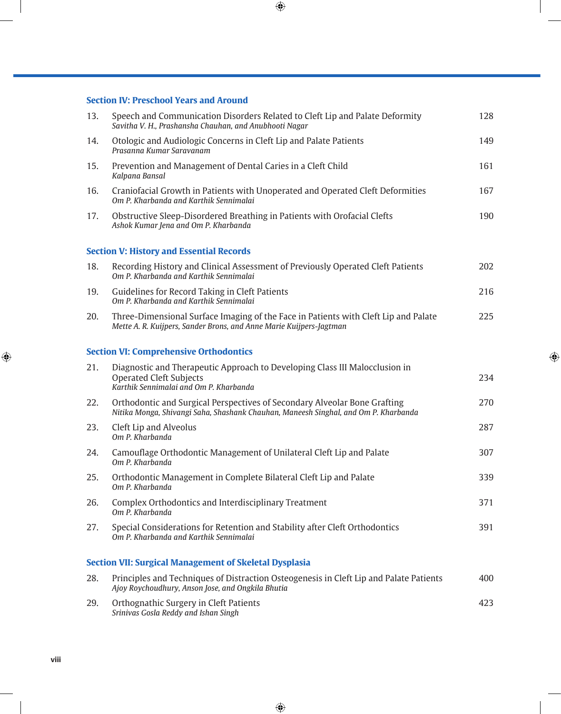$\bigoplus$ 

## **Section IV: Preschool Years and Around**

*Srinivas Gosla Reddy and Ishan Singh*

| 13. | Speech and Communication Disorders Related to Cleft Lip and Palate Deformity<br>Savitha V. H., Prashansha Chauhan, and Anubhooti Nagar                           | 128 |
|-----|------------------------------------------------------------------------------------------------------------------------------------------------------------------|-----|
| 14. | Otologic and Audiologic Concerns in Cleft Lip and Palate Patients<br>Prasanna Kumar Saravanam                                                                    | 149 |
| 15. | Prevention and Management of Dental Caries in a Cleft Child<br>Kalpana Bansal                                                                                    | 161 |
| 16. | Craniofacial Growth in Patients with Unoperated and Operated Cleft Deformities<br>Om P. Kharbanda and Karthik Sennimalai                                         | 167 |
| 17. | Obstructive Sleep-Disordered Breathing in Patients with Orofacial Clefts<br>Ashok Kumar Jena and Om P. Kharbanda                                                 | 190 |
|     | <b>Section V: History and Essential Records</b>                                                                                                                  |     |
| 18. | Recording History and Clinical Assessment of Previously Operated Cleft Patients<br>Om P. Kharbanda and Karthik Sennimalai                                        | 202 |
| 19. | Guidelines for Record Taking in Cleft Patients<br>Om P. Kharbanda and Karthik Sennimalai                                                                         | 216 |
| 20. | Three-Dimensional Surface Imaging of the Face in Patients with Cleft Lip and Palate<br>Mette A. R. Kuijpers, Sander Brons, and Anne Marie Kuijpers-Jagtman       | 225 |
|     | <b>Section VI: Comprehensive Orthodontics</b>                                                                                                                    |     |
| 21. | Diagnostic and Therapeutic Approach to Developing Class III Malocclusion in<br><b>Operated Cleft Subjects</b><br>Karthik Sennimalai and Om P. Kharbanda          | 234 |
| 22. | Orthodontic and Surgical Perspectives of Secondary Alveolar Bone Grafting<br>Nitika Monga, Shivangi Saha, Shashank Chauhan, Maneesh Singhal, and Om P. Kharbanda | 270 |
| 23. | Cleft Lip and Alveolus<br>Om P. Kharbanda                                                                                                                        | 287 |
| 24. | Camouflage Orthodontic Management of Unilateral Cleft Lip and Palate<br>Om P. Kharbanda                                                                          | 307 |
| 25. | Orthodontic Management in Complete Bilateral Cleft Lip and Palate<br>Om P. Kharbanda                                                                             | 339 |
| 26. | Complex Orthodontics and Interdisciplinary Treatment<br>Om P. Kharbanda                                                                                          | 371 |
| 27. | Special Considerations for Retention and Stability after Cleft Orthodontics<br>Om P. Kharbanda and Karthik Sennimalai                                            | 391 |
|     | <b>Section VII: Surgical Management of Skeletal Dysplasia</b>                                                                                                    |     |
| 28. | Principles and Techniques of Distraction Osteogenesis in Cleft Lip and Palate Patients<br>Ajoy Roychoudhury, Anson Jose, and Ongkila Bhutia                      | 400 |
| 29. | Orthognathic Surgery in Cleft Patients                                                                                                                           | 423 |

 $\bigoplus$ 

 $\overline{\phantom{a}}$ 

 $\bigoplus$ 

 $\bigoplus$